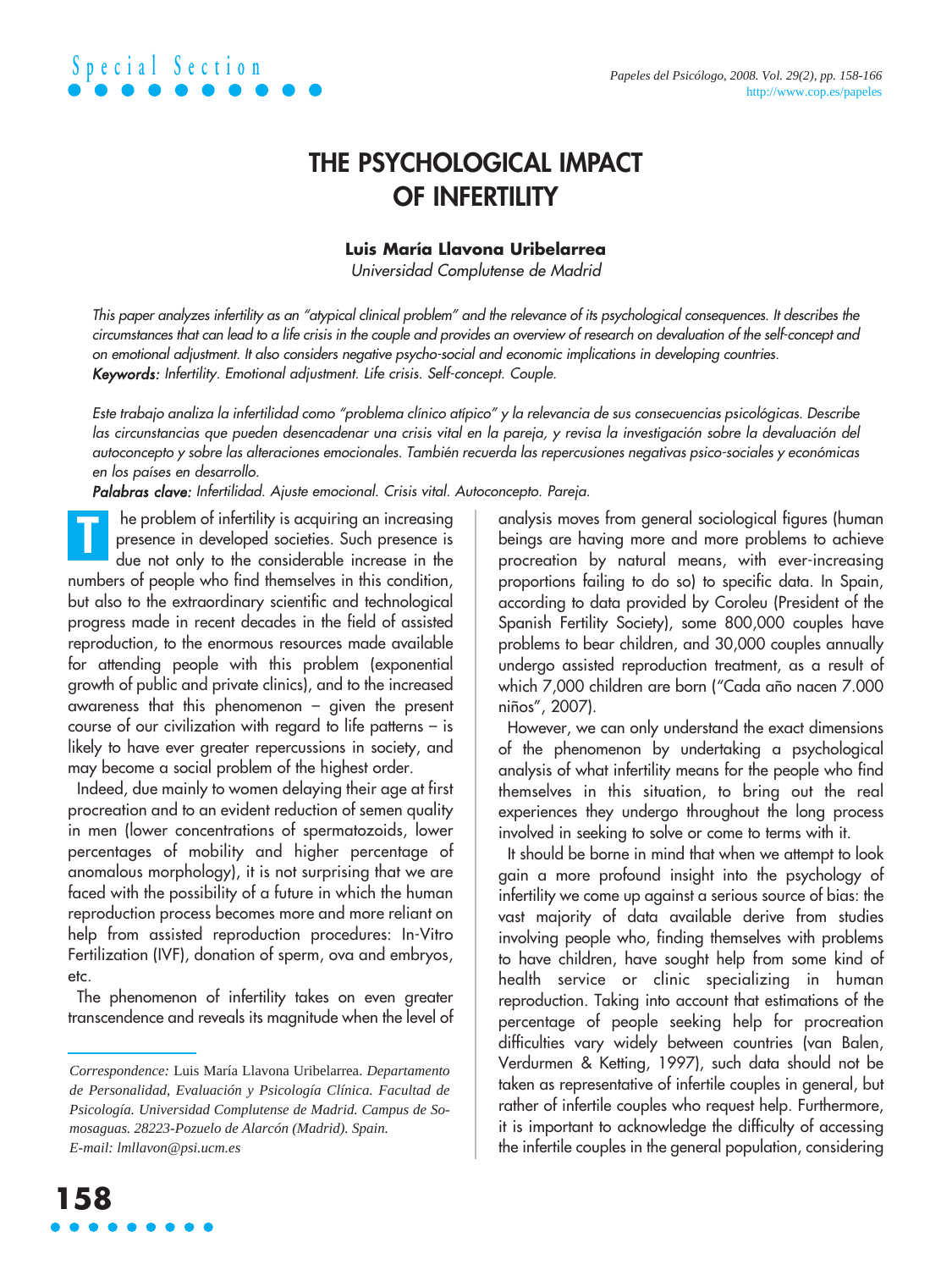

### **THE PSYCHOLOGICAL IMPACT OF INFERTILITY**

### **Luis María Llavona Uribelarrea**

Universidad Complutense de Madrid

This paper analyzes infertility as an "atypical clinical problem" and the relevance of its psychological consequences. It describes the circumstances that can lead to a life crisis in the couple and provides an overview of research on devaluation of the self-concept and on emotional adjustment. It also considers negative psycho-social and economic implications in developing countries. Keywords: Infertility. Emotional adjustment. Life crisis. Self-concept. Couple.

Este trabajo analiza la infertilidad como "problema clínico atípico" y la relevancia de sus consecuencias psicológicas. Describe las circunstancias que pueden desencadenar una crisis vital en la pareja, y revisa la investigación sobre la devaluación del autoconcepto y sobre las alteraciones emocionales. También recuerda las repercusiones negativas psico-sociales y económicas en los países en desarrollo.

Palabras clave: Infertilidad. Ajuste emocional. Crisis vital. Autoconcepto. Pareja.

he problem of infertility is acquiring an increasing presence in developed societies. Such presence is due not only to the considerable increase in the numbers of people who find themselves in this condition, but also to the extraordinary scientific and technological progress made in recent decades in the field of assisted reproduction, to the enormous resources made available for attending people with this problem (exponential growth of public and private clinics), and to the increased awareness that this phenomenon – given the present course of our civilization with regard to life patterns – is likely to have ever greater repercussions in society, and may become a social problem of the highest order. **T**

Indeed, due mainly to women delaying their age at first procreation and to an evident reduction of semen quality in men (lower concentrations of spermatozoids, lower percentages of mobility and higher percentage of anomalous morphology), it is not surprising that we are faced with the possibility of a future in which the human reproduction process becomes more and more reliant on help from assisted reproduction procedures: In-Vitro Fertilization (IVF), donation of sperm, ova and embryos, etc.

The phenomenon of infertility takes on even greater transcendence and reveals its magnitude when the level of analysis moves from general sociological figures (human beings are having more and more problems to achieve procreation by natural means, with ever-increasing proportions failing to do so) to specific data. In Spain, according to data provided by Coroleu (President of the Spanish Fertility Society), some 800,000 couples have problems to bear children, and 30,000 couples annually undergo assisted reproduction treatment, as a result of which 7,000 children are born ("Cada año nacen 7.000 niños", 2007).

However, we can only understand the exact dimensions of the phenomenon by undertaking a psychological analysis of what infertility means for the people who find themselves in this situation, to bring out the real experiences they undergo throughout the long process involved in seeking to solve or come to terms with it.

It should be borne in mind that when we attempt to look gain a more profound insight into the psychology of infertility we come up against a serious source of bias: the vast majority of data available derive from studies involving people who, finding themselves with problems to have children, have sought help from some kind of health service or clinic specializing in human reproduction. Taking into account that estimations of the percentage of people seeking help for procreation difficulties vary widely between countries (van Balen, Verdurmen & Ketting, 1997), such data should not be taken as representative of infertile couples in general, but rather of infertile couples who request help. Furthermore, it is important to acknowledge the difficulty of accessing the infertile couples in the general population, considering

*Correspondence:* Luis María Llavona Uribelarrea. *Departamento de Personalidad, Evaluación y Psicología Clínica. Facultad de Psicología. Universidad Complutense de Madrid. Campus de Somosaguas. 28223-Pozuelo de Alarcón (Madrid). Spain. E-mail: lmllavon@psi.ucm.es*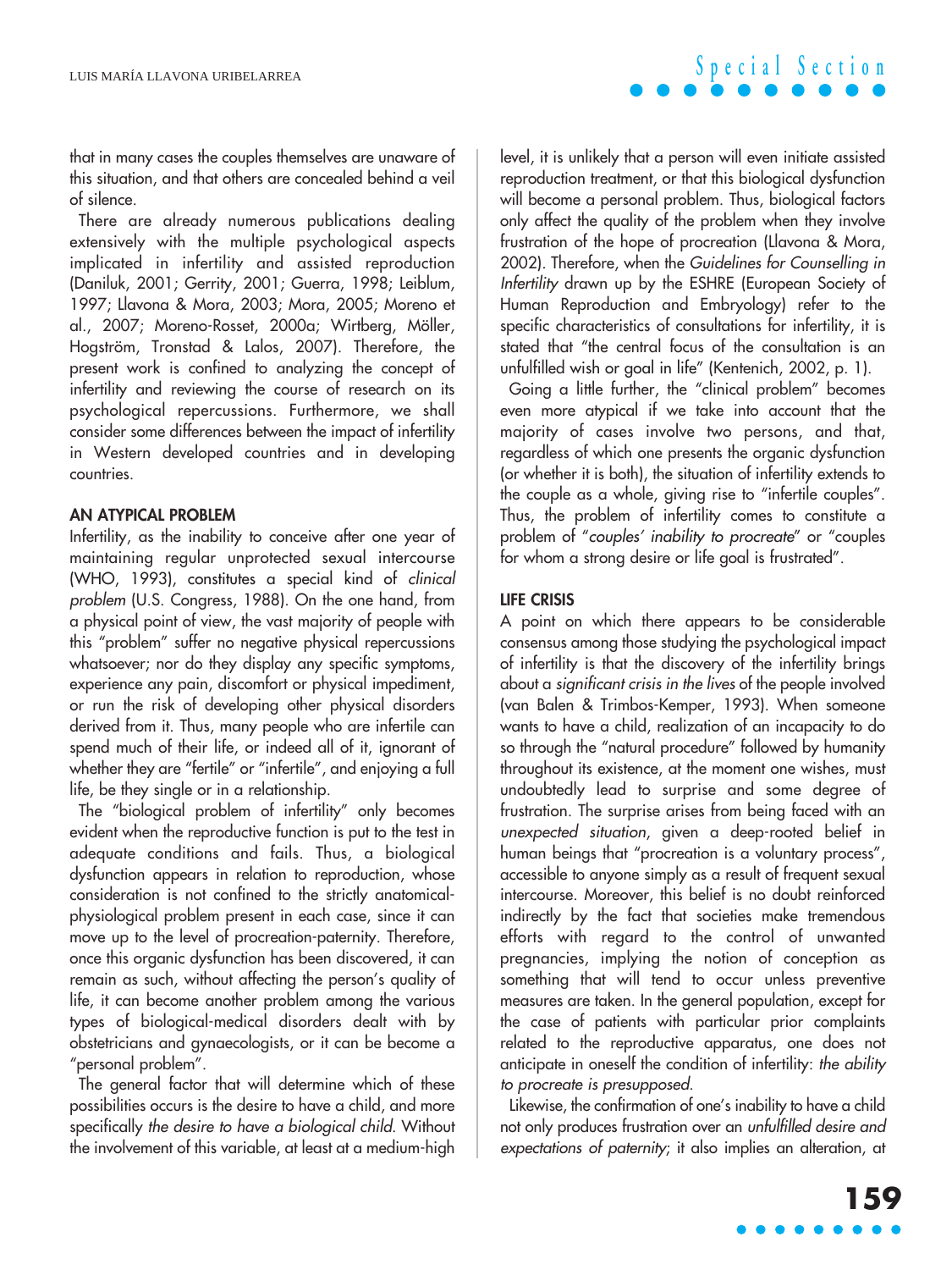that in many cases the couples themselves are unaware of this situation, and that others are concealed behind a veil of silence.

There are already numerous publications dealing extensively with the multiple psychological aspects implicated in infertility and assisted reproduction (Daniluk, 2001; Gerrity, 2001; Guerra, 1998; Leiblum, 1997; Llavona & Mora, 2003; Mora, 2005; Moreno et al., 2007; Moreno-Rosset, 2000a; Wirtberg, Möller, Hogström, Tronstad & Lalos, 2007). Therefore, the present work is confined to analyzing the concept of infertility and reviewing the course of research on its psychological repercussions. Furthermore, we shall consider some differences between the impact of infertility in Western developed countries and in developing countries.

### **AN ATYPICAL PROBLEM**

Infertility, as the inability to conceive after one year of maintaining regular unprotected sexual intercourse (WHO, 1993), constitutes a special kind of clinical problem (U.S. Congress, 1988). On the one hand, from a physical point of view, the vast majority of people with this "problem" suffer no negative physical repercussions whatsoever; nor do they display any specific symptoms, experience any pain, discomfort or physical impediment, or run the risk of developing other physical disorders derived from it. Thus, many people who are infertile can spend much of their life, or indeed all of it, ignorant of whether they are "fertile" or "infertile", and enjoying a full life, be they single or in a relationship.

The "biological problem of infertility" only becomes evident when the reproductive function is put to the test in adequate conditions and fails. Thus, a biological dysfunction appears in relation to reproduction, whose consideration is not confined to the strictly anatomicalphysiological problem present in each case, since it can move up to the level of procreation-paternity. Therefore, once this organic dysfunction has been discovered, it can remain as such, without affecting the person's quality of life, it can become another problem among the various types of biological-medical disorders dealt with by obstetricians and gynaecologists, or it can be become a "personal problem".

The general factor that will determine which of these possibilities occurs is the desire to have a child, and more specifically the desire to have a biological child. Without the involvement of this variable, at least at a medium-high

level, it is unlikely that a person will even initiate assisted reproduction treatment, or that this biological dysfunction will become a personal problem. Thus, biological factors only affect the quality of the problem when they involve frustration of the hope of procreation (Llavona & Mora, 2002). Therefore, when the Guidelines for Counselling in Infertility drawn up by the ESHRE (European Society of Human Reproduction and Embryology) refer to the specific characteristics of consultations for infertility, it is stated that "the central focus of the consultation is an unfulfilled wish or goal in life" (Kentenich, 2002, p. 1).

Going a little further, the "clinical problem" becomes even more atypical if we take into account that the majority of cases involve two persons, and that, regardless of which one presents the organic dysfunction (or whether it is both), the situation of infertility extends to the couple as a whole, giving rise to "infertile couples". Thus, the problem of infertility comes to constitute a problem of "couples' inability to procreate" or "couples for whom a strong desire or life goal is frustrated".

#### **LIFE CRISIS**

A point on which there appears to be considerable consensus among those studying the psychological impact of infertility is that the discovery of the infertility brings about a significant crisis in the lives of the people involved (van Balen & Trimbos-Kemper, 1993). When someone wants to have a child, realization of an incapacity to do so through the "natural procedure" followed by humanity throughout its existence, at the moment one wishes, must undoubtedly lead to surprise and some degree of frustration. The surprise arises from being faced with an unexpected situation, given a deep-rooted belief in human beings that "procreation is a voluntary process", accessible to anyone simply as a result of frequent sexual intercourse. Moreover, this belief is no doubt reinforced indirectly by the fact that societies make tremendous efforts with regard to the control of unwanted pregnancies, implying the notion of conception as something that will tend to occur unless preventive measures are taken. In the general population, except for the case of patients with particular prior complaints related to the reproductive apparatus, one does not anticipate in oneself the condition of infertility: the ability to procreate is presupposed.

Likewise, the confirmation of one's inability to have a child not only produces frustration over an unfulfilled desire and expectations of paternity; it also implies an alteration, at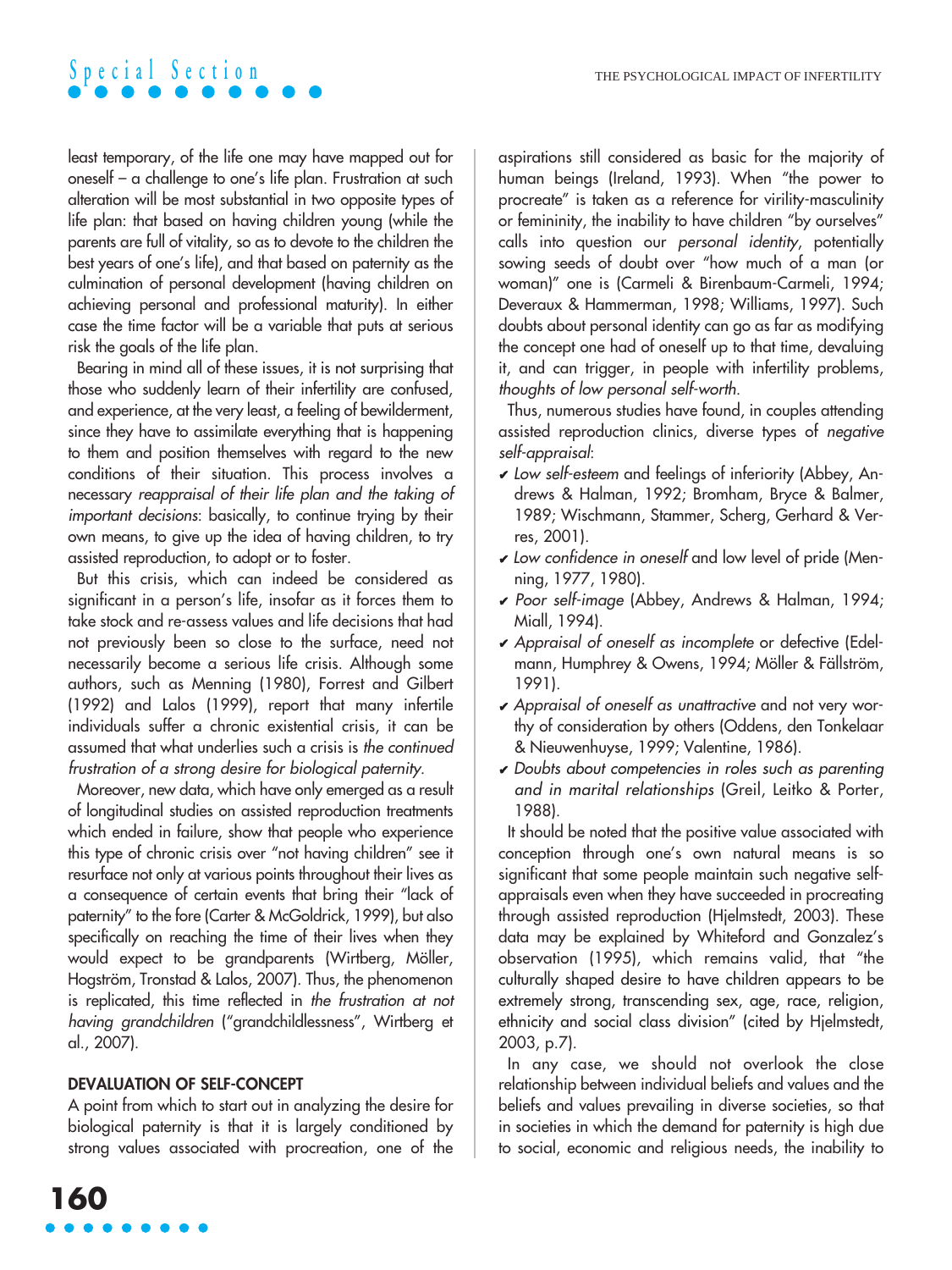least temporary, of the life one may have mapped out for oneself – a challenge to one's life plan. Frustration at such alteration will be most substantial in two opposite types of life plan: that based on having children young (while the parents are full of vitality, so as to devote to the children the best years of one's life), and that based on paternity as the culmination of personal development (having children on achieving personal and professional maturity). In either case the time factor will be a variable that puts at serious risk the goals of the life plan.

Bearing in mind all of these issues, it is not surprising that those who suddenly learn of their infertility are confused, and experience, at the very least, a feeling of bewilderment, since they have to assimilate everything that is happening to them and position themselves with regard to the new conditions of their situation. This process involves a necessary reappraisal of their life plan and the taking of important decisions: basically, to continue trying by their own means, to give up the idea of having children, to try assisted reproduction, to adopt or to foster.

But this crisis, which can indeed be considered as significant in a person's life, insofar as it forces them to take stock and re-assess values and life decisions that had not previously been so close to the surface, need not necessarily become a serious life crisis. Although some authors, such as Menning (1980), Forrest and Gilbert (1992) and Lalos (1999), report that many infertile individuals suffer a chronic existential crisis, it can be assumed that what underlies such a crisis is the continued frustration of a strong desire for biological paternity.

Moreover, new data, which have only emerged as a result of longitudinal studies on assisted reproduction treatments which ended in failure, show that people who experience this type of chronic crisis over "not having children" see it resurface not only at various points throughout their lives as a consequence of certain events that bring their "lack of paternity" to the fore (Carter & McGoldrick, 1999), but also specifically on reaching the time of their lives when they would expect to be grandparents (Wirtberg, Möller, Hogström, Tronstad & Lalos, 2007). Thus, the phenomenon is replicated, this time reflected in the frustration at not having grandchildren ("grandchildlessness", Wirtberg et al., 2007).

### **DEVALUATION OF SELF-CONCEPT**

A point from which to start out in analyzing the desire for biological paternity is that it is largely conditioned by strong values associated with procreation, one of the aspirations still considered as basic for the majority of human beings (Ireland, 1993). When "the power to procreate" is taken as a reference for virility-masculinity or femininity, the inability to have children "by ourselves" calls into question our personal identity, potentially sowing seeds of doubt over "how much of a man (or woman)" one is (Carmeli & Birenbaum-Carmeli, 1994; Deveraux & Hammerman, 1998; Williams, 1997). Such doubts about personal identity can go as far as modifying the concept one had of oneself up to that time, devaluing it, and can trigger, in people with infertility problems, thoughts of low personal self-worth.

Thus, numerous studies have found, in couples attending assisted reproduction clinics, diverse types of negative self-appraisal:

- $\vee$  Low self-esteem and feelings of inferiority (Abbey, Andrews & Halman, 1992; Bromham, Bryce & Balmer, 1989; Wischmann, Stammer, Scherg, Gerhard & Verres, 2001).
- ✔ Low confidence in oneself and low level of pride (Menning, 1977, 1980).
- ✔ Poor self-image (Abbey, Andrews & Halman, 1994; Miall, 1994).
- ✔ Appraisal of oneself as incomplete or defective (Edelmann, Humphrey & Owens, 1994; Möller & Fällström, 1991).
- ✔ Appraisal of oneself as unattractive and not very worthy of consideration by others (Oddens, den Tonkelaar & Nieuwenhuyse, 1999; Valentine, 1986).
- $\vee$  Doubts about competencies in roles such as parenting and in marital relationships (Greil, Leitko & Porter, 1988).

It should be noted that the positive value associated with conception through one's own natural means is so significant that some people maintain such negative selfappraisals even when they have succeeded in procreating through assisted reproduction (Hjelmstedt, 2003). These data may be explained by Whiteford and Gonzalez's observation (1995), which remains valid, that "the culturally shaped desire to have children appears to be extremely strong, transcending sex, age, race, religion, ethnicity and social class division" (cited by Hjelmstedt, 2003, p.7).

In any case, we should not overlook the close relationship between individual beliefs and values and the beliefs and values prevailing in diverse societies, so that in societies in which the demand for paternity is high due to social, economic and religious needs, the inability to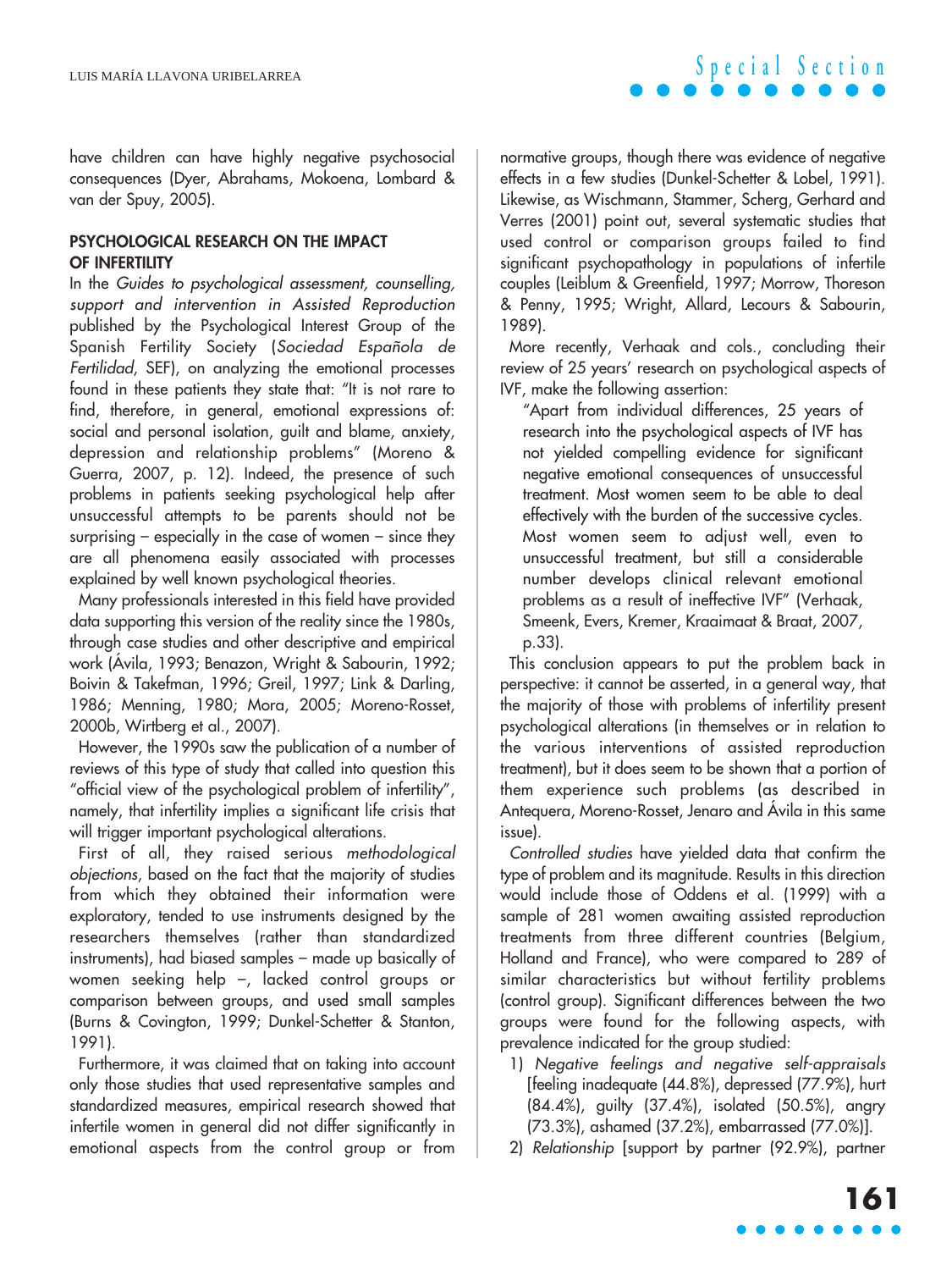have children can have highly negative psychosocial consequences (Dyer, Abrahams, Mokoena, Lombard & van der Spuy, 2005).

### **PSYCHOLOGICAL RESEARCH ON THE IMPACT OF INFERTILITY**

In the Guides to psychological assessment, counselling, support and intervention in Assisted Reproduction published by the Psychological Interest Group of the Spanish Fertility Society (Sociedad Española de Fertilidad, SEF), on analyzing the emotional processes found in these patients they state that: "It is not rare to find, therefore, in general, emotional expressions of: social and personal isolation, guilt and blame, anxiety, depression and relationship problems" (Moreno & Guerra, 2007, p. 12). Indeed, the presence of such problems in patients seeking psychological help after unsuccessful attempts to be parents should not be surprising – especially in the case of women – since they are all phenomena easily associated with processes explained by well known psychological theories.

Many professionals interested in this field have provided data supporting this version of the reality since the 1980s, through case studies and other descriptive and empirical work (Ávila, 1993; Benazon, Wright & Sabourin, 1992; Boivin & Takefman, 1996; Greil, 1997; Link & Darling, 1986; Menning, 1980; Mora, 2005; Moreno-Rosset, 2000b, Wirtberg et al., 2007).

However, the 1990s saw the publication of a number of reviews of this type of study that called into question this "official view of the psychological problem of infertility", namely, that infertility implies a significant life crisis that will trigger important psychological alterations.

First of all, they raised serious methodological objections, based on the fact that the majority of studies from which they obtained their information were exploratory, tended to use instruments designed by the researchers themselves (rather than standardized instruments), had biased samples – made up basically of women seeking help –, lacked control groups or comparison between groups, and used small samples (Burns & Covington, 1999; Dunkel-Schetter & Stanton, 1991).

Furthermore, it was claimed that on taking into account only those studies that used representative samples and standardized measures, empirical research showed that infertile women in general did not differ significantly in emotional aspects from the control group or from

normative groups, though there was evidence of negative effects in a few studies (Dunkel-Schetter & Lobel, 1991). Likewise, as Wischmann, Stammer, Scherg, Gerhard and Verres (2001) point out, several systematic studies that used control or comparison groups failed to find significant psychopathology in populations of infertile couples (Leiblum & Greenfield, 1997; Morrow, Thoreson & Penny, 1995; Wright, Allard, Lecours & Sabourin, 1989).

More recently, Verhaak and cols., concluding their review of 25 years' research on psychological aspects of IVF, make the following assertion:

"Apart from individual differences, 25 years of research into the psychological aspects of IVF has not yielded compelling evidence for significant negative emotional consequences of unsuccessful treatment. Most women seem to be able to deal effectively with the burden of the successive cycles. Most women seem to adjust well, even to unsuccessful treatment, but still a considerable number develops clinical relevant emotional problems as a result of ineffective IVF" (Verhaak, Smeenk, Evers, Kremer, Kraaimaat & Braat, 2007, p.33).

This conclusion appears to put the problem back in perspective: it cannot be asserted, in a general way, that the majority of those with problems of infertility present psychological alterations (in themselves or in relation to the various interventions of assisted reproduction treatment), but it does seem to be shown that a portion of them experience such problems (as described in Antequera, Moreno-Rosset, Jenaro and Ávila in this same issue).

Controlled studies have yielded data that confirm the type of problem and its magnitude. Results in this direction would include those of Oddens et al. (1999) with a sample of 281 women awaiting assisted reproduction treatments from three different countries (Belgium, Holland and France), who were compared to 289 of similar characteristics but without fertility problems (control group). Significant differences between the two groups were found for the following aspects, with prevalence indicated for the group studied:

- 1) Negative feelings and negative self-appraisals [feeling inadequate (44.8%), depressed (77.9%), hurt (84.4%), guilty (37.4%), isolated (50.5%), angry (73.3%), ashamed (37.2%), embarrassed (77.0%)].
- 2) Relationship [support by partner (92.9%), partner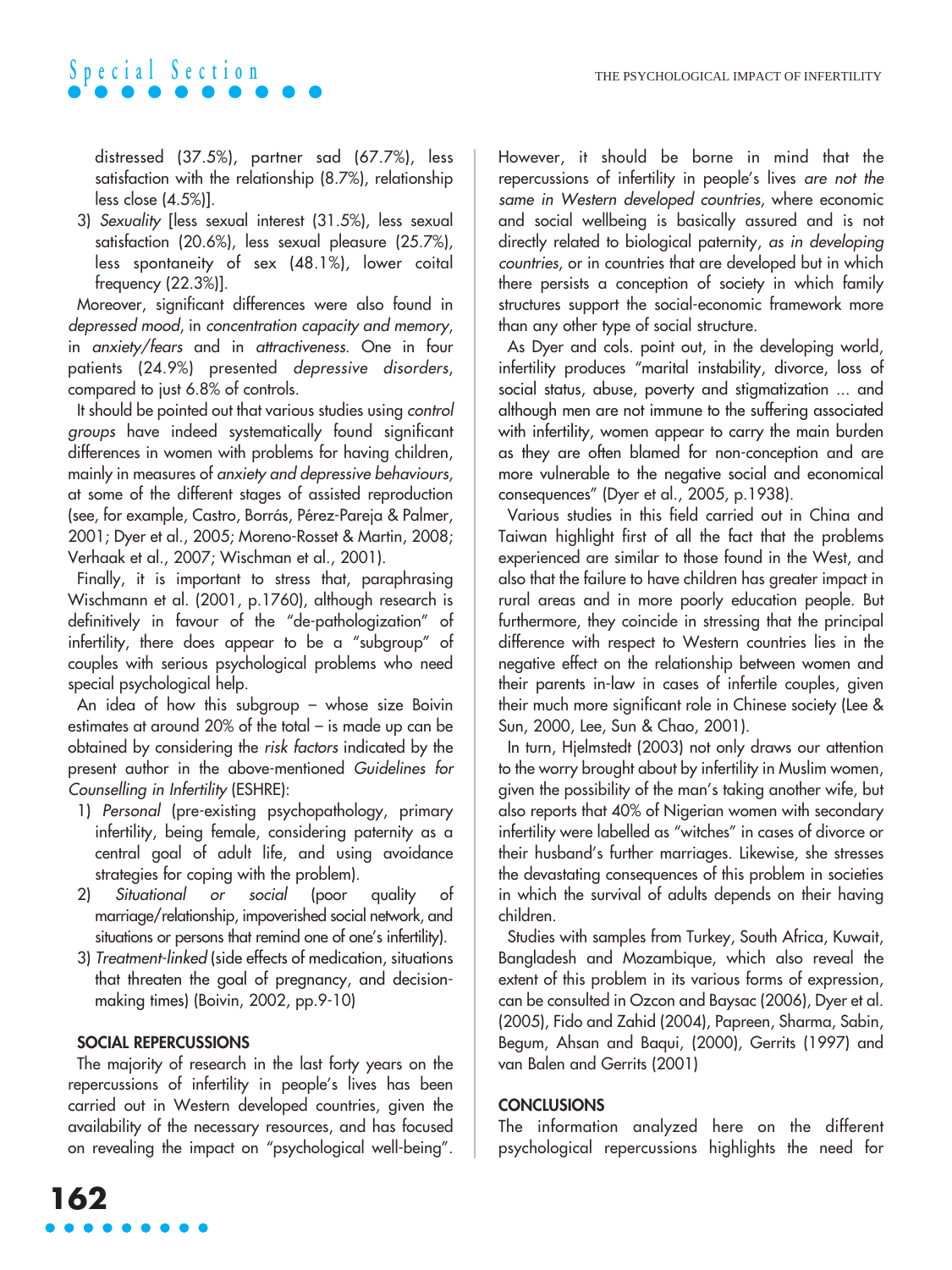distressed (37.5%), partner sad (67.7%), less satisfaction with the relationship (8.7%), relationship less close (4.5%)].

3) Sexuality [less sexual interest (31.5%), less sexual satisfaction (20.6%), less sexual pleasure (25.7%), less spontaneity of sex (48.1%), lower coital frequency (22.3%)].

Moreover, significant differences were also found in depressed mood, in concentration capacity and memory, in anxiety/fears and in attractiveness. One in four patients (24.9%) presented depressive disorders, compared to just 6.8% of controls.

It should be pointed out that various studies using control groups have indeed systematically found significant differences in women with problems for having children, mainly in measures of anxiety and depressive behaviours, at some of the different stages of assisted reproduction (see, for example, Castro, Borrás, Pérez-Pareja & Palmer, 2001; Dyer et al., 2005; Moreno-Rosset & Martin, 2008; Verhaak et al., 2007; Wischman et al., 2001).

Finally, it is important to stress that, paraphrasing Wischmann et al. (2001, p.1760), although research is definitively in favour of the "de-pathologization" of infertility, there does appear to be a "subgroup" of couples with serious psychological problems who need special psychological help.

An idea of how this subgroup – whose size Boivin estimates at around 20% of the total – is made up can be obtained by considering the risk factors indicated by the present author in the above-mentioned Guidelines for Counselling in Infertility (ESHRE):

- 1) Personal (pre-existing psychopathology, primary infertility, being female, considering paternity as a central goal of adult life, and using avoidance strategies for coping with the problem).
- 2) Situational or social (poor quality of marriage/relationship, impoverished social network, and situations or persons that remind one of one's infertility).
- 3) Treatment-linked (side effects of medication, situations that threaten the goal of pregnancy, and decisionmaking times) (Boivin, 2002, pp.9-10)

### **SOCIAL REPERCUSSIONS**

The majority of research in the last forty years on the repercussions of infertility in people's lives has been carried out in Western developed countries, given the availability of the necessary resources, and has focused on revealing the impact on "psychological well-being".

However, it should be borne in mind that the repercussions of infertility in people's lives are not the same in Western developed countries, where economic and social wellbeing is basically assured and is not directly related to biological paternity, as in developing countries, or in countries that are developed but in which there persists a conception of society in which family structures support the social-economic framework more than any other type of social structure.

As Dyer and cols. point out, in the developing world, infertility produces "marital instability, divorce, loss of social status, abuse, poverty and stigmatization ... and although men are not immune to the suffering associated with infertility, women appear to carry the main burden as they are often blamed for non-conception and are more vulnerable to the negative social and economical consequences" (Dyer et al., 2005, p.1938).

Various studies in this field carried out in China and Taiwan highlight first of all the fact that the problems experienced are similar to those found in the West, and also that the failure to have children has greater impact in rural areas and in more poorly education people. But furthermore, they coincide in stressing that the principal difference with respect to Western countries lies in the negative effect on the relationship between women and their parents in-law in cases of infertile couples, given their much more significant role in Chinese society (Lee & Sun, 2000, Lee, Sun & Chao, 2001).

In turn, Hjelmstedt (2003) not only draws our attention to the worry brought about by infertility in Muslim women, given the possibility of the man's taking another wife, but also reports that 40% of Nigerian women with secondary infertility were labelled as "witches" in cases of divorce or their husband's further marriages. Likewise, she stresses the devastating consequences of this problem in societies in which the survival of adults depends on their having children.

Studies with samples from Turkey, South Africa, Kuwait, Bangladesh and Mozambique, which also reveal the extent of this problem in its various forms of expression, can be consulted in Ozcon and Baysac (2006), Dyer et al. (2005), Fido and Zahid (2004), Papreen, Sharma, Sabin, Begum, Ahsan and Baqui, (2000), Gerrits (1997) and van Balen and Gerrits (2001)

### **CONCLUSIONS**

The information analyzed here on the different psychological repercussions highlights the need for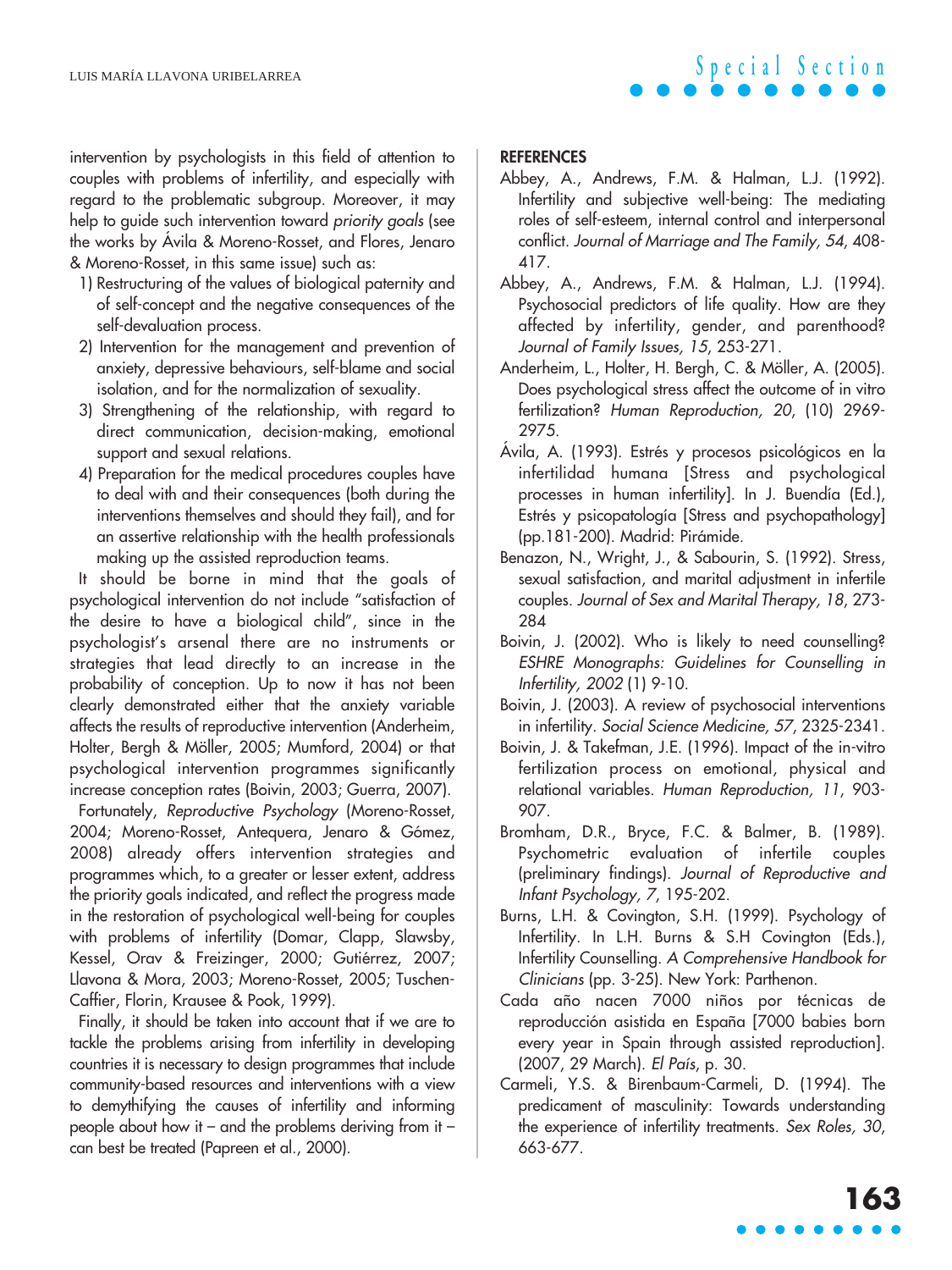intervention by psychologists in this field of attention to couples with problems of infertility, and especially with regard to the problematic subgroup. Moreover, it may help to guide such intervention toward priority goals (see the works by Ávila & Moreno-Rosset, and Flores, Jenaro & Moreno-Rosset, in this same issue) such as:

- 1) Restructuring of the values of biological paternity and of self-concept and the negative consequences of the self-devaluation process.
- 2) Intervention for the management and prevention of anxiety, depressive behaviours, self-blame and social isolation, and for the normalization of sexuality.
- 3) Strengthening of the relationship, with regard to direct communication, decision-making, emotional support and sexual relations.
- 4) Preparation for the medical procedures couples have to deal with and their consequences (both during the interventions themselves and should they fail), and for an assertive relationship with the health professionals making up the assisted reproduction teams.

It should be borne in mind that the goals of psychological intervention do not include "satisfaction of the desire to have a biological child", since in the psychologist's arsenal there are no instruments or strategies that lead directly to an increase in the probability of conception. Up to now it has not been clearly demonstrated either that the anxiety variable affects the results of reproductive intervention (Anderheim, Holter, Bergh & Möller, 2005; Mumford, 2004) or that psychological intervention programmes significantly increase conception rates (Boivin, 2003; Guerra, 2007).

Fortunately, Reproductive Psychology (Moreno-Rosset, 2004; Moreno-Rosset, Antequera, Jenaro & Gómez, 2008) already offers intervention strategies and programmes which, to a greater or lesser extent, address the priority goals indicated, and reflect the progress made in the restoration of psychological well-being for couples with problems of infertility (Domar, Clapp, Slawsby, Kessel, Orav & Freizinger, 2000; Gutiérrez, 2007; Llavona & Mora, 2003; Moreno-Rosset, 2005; Tuschen-Caffier, Florin, Krausee & Pook, 1999).

Finally, it should be taken into account that if we are to tackle the problems arising from infertility in developing countries it is necessary to design programmes that include community-based resources and interventions with a view to demythifying the causes of infertility and informing people about how it – and the problems deriving from it – can best be treated (Papreen et al., 2000).

### **REFERENCES**

- Abbey, A., Andrews, F.M. & Halman, L.J. (1992). Infertility and subjective well-being: The mediating roles of self-esteem, internal control and interpersonal conflict. Journal of Marriage and The Family, 54, 408- 417.
- Abbey, A., Andrews, F.M. & Halman, L.J. (1994). Psychosocial predictors of life quality. How are they affected by infertility, gender, and parenthood? Journal of Family Issues, 15, 253-271.
- Anderheim, L., Holter, H. Bergh, C. & Möller, A. (2005). Does psychological stress affect the outcome of in vitro fertilization? Human Reproduction, 20, (10) 2969- 2975.
- Ávila, A. (1993). Estrés y procesos psicológicos en la infertilidad humana [Stress and psychological processes in human infertility]. In J. Buendía (Ed.), Estrés y psicopatología [Stress and psychopathology] (pp.181-200). Madrid: Pirámide.
- Benazon, N., Wright, J., & Sabourin, S. (1992). Stress, sexual satisfaction, and marital adjustment in infertile couples. Journal of Sex and Marital Therapy, 18, 273- 284
- Boivin, J. (2002). Who is likely to need counselling? ESHRE Monographs: Guidelines for Counselling in Infertility, 2002 (1) 9-10.
- Boivin, J. (2003). A review of psychosocial interventions in infertility. Social Science Medicine, 57, 2325-2341.
- Boivin, J. & Takefman, J.E. (1996). Impact of the in-vitro fertilization process on emotional, physical and relational variables. Human Reproduction, 11, 903- 907.
- Bromham, D.R., Bryce, F.C. & Balmer, B. (1989). Psychometric evaluation of infertile couples (preliminary findings). Journal of Reproductive and Infant Psychology, 7, 195-202.
- Burns, L.H. & Covington, S.H. (1999). Psychology of Infertility. In L.H. Burns & S.H Covington (Eds.), Infertility Counselling. A Comprehensive Handbook for Clinicians (pp. 3-25). New York: Parthenon.
- Cada año nacen 7000 niños por técnicas de reproducción asistida en España [7000 babies born every year in Spain through assisted reproduction]. (2007, 29 March). El País, p. 30.
- Carmeli, Y.S. & Birenbaum-Carmeli, D. (1994). The predicament of masculinity: Towards understanding the experience of infertility treatments. Sex Roles, 30, 663-677.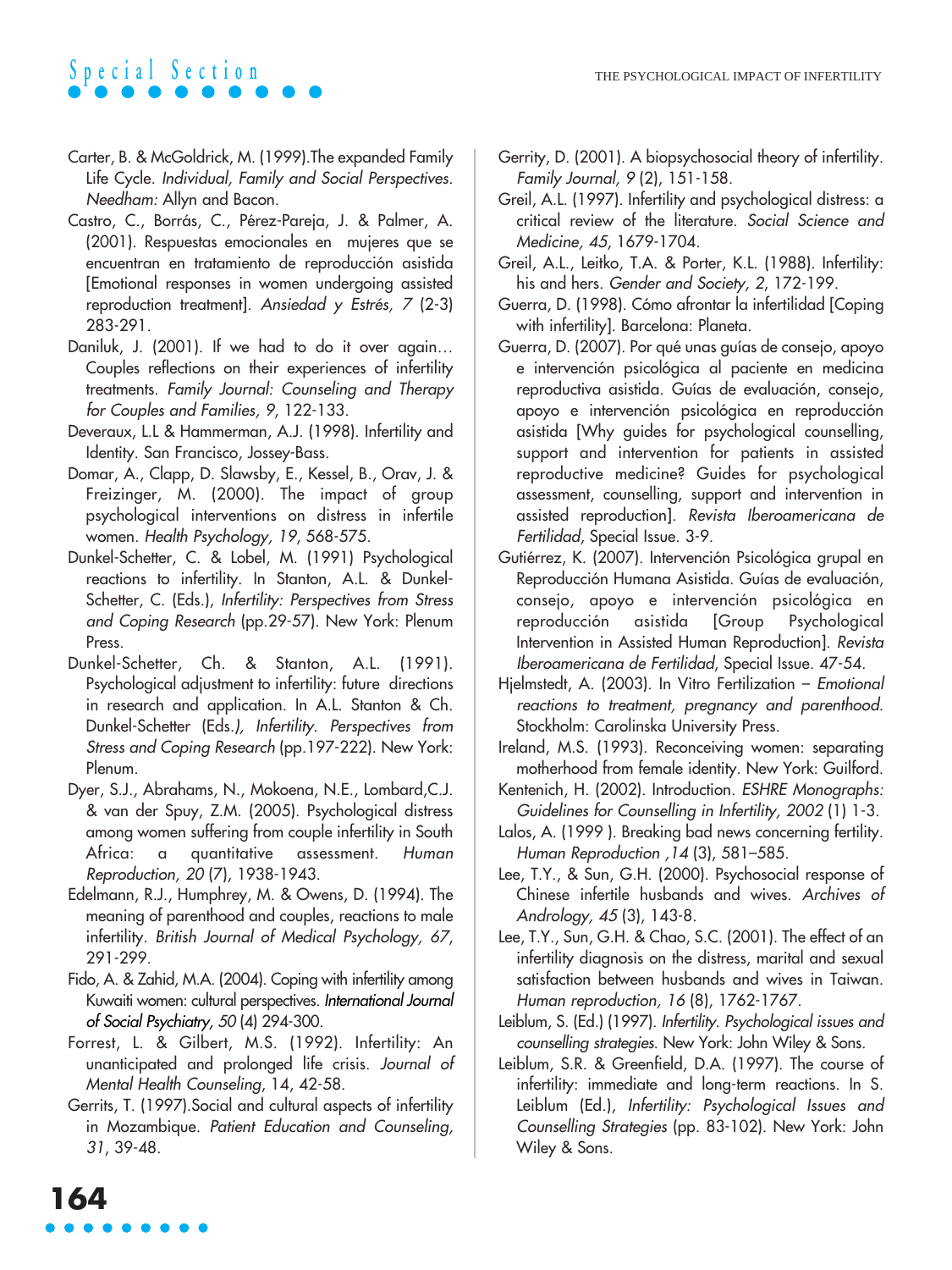- Carter, B. & McGoldrick, M. (1999).The expanded Family Life Cycle. Individual, Family and Social Perspectives. Needham: Allyn and Bacon.
- Castro, C., Borrás, C., Pérez-Pareja, J. & Palmer, A. (2001). Respuestas emocionales en mujeres que se encuentran en tratamiento de reproducción asistida [Emotional responses in women undergoing assisted reproduction treatment]. Ansiedad y Estrés, 7 (2-3) 283-291.
- Daniluk, J. (2001). If we had to do it over again… Couples reflections on their experiences of infertility treatments. Family Journal: Counseling and Therapy for Couples and Families, 9, 122-133.
- Deveraux, L.L & Hammerman, A.J. (1998). Infertility and Identity. San Francisco, Jossey-Bass.
- Domar, A., Clapp, D. Slawsby, E., Kessel, B., Orav, J. & Freizinger, M. (2000). The impact of group psychological interventions on distress in infertile women. Health Psychology, 19, 568-575.
- Dunkel-Schetter, C. & Lobel, M. (1991) Psychological reactions to infertility. In Stanton, A.L. & Dunkel-Schetter, C. (Eds.), Infertility: Perspectives from Stress and Coping Research (pp.29-57). New York: Plenum Press.
- Dunkel-Schetter, Ch. & Stanton, A.L. (1991). Psychological adjustment to infertility: future directions in research and application. In A.L. Stanton & Ch. Dunkel-Schetter (Eds.), Infertility. Perspectives from Stress and Coping Research (pp.197-222). New York: Plenum.
- Dyer, S.J., Abrahams, N., Mokoena, N.E., Lombard,C.J. & van der Spuy, Z.M. (2005). Psychological distress among women suffering from couple infertility in South Africa: a quantitative assessment. Human Reproduction, 20 (7), 1938-1943.
- Edelmann, R.J., Humphrey, M. & Owens, D. (1994). The meaning of parenthood and couples, reactions to male infertility. British Journal of Medical Psychology, 67, 291-299.
- Fido, A. & Zahid, M.A. (2004). Coping with infertility among Kuwaiti women: cultural perspectives. International Journal of Social Psychiatry, 50 (4) 294-300.
- Forrest, L. & Gilbert, M.S. (1992). Infertility: An unanticipated and prolonged life crisis. Journal of Mental Health Counseling, 14, 42-58.
- Gerrits, T. (1997).Social and cultural aspects of infertility in Mozambique. Patient Education and Counseling, 31, 39-48.
- Gerrity, D. (2001). A biopsychosocial theory of infertility. Family Journal, 9 (2), 151-158.
- Greil, A.L. (1997). Infertility and psychological distress: a critical review of the literature. Social Science and Medicine, 45, 1679-1704.
- Greil, A.L., Leitko, T.A. & Porter, K.L. (1988). Infertility: his and hers. Gender and Society, 2, 172-199.
- Guerra, D. (1998). Cómo afrontar la infertilidad [Coping with infertility]. Barcelona: Planeta.
- Guerra, D. (2007). Por qué unas guías de consejo, apoyo e intervención psicológica al paciente en medicina reproductiva asistida. Guías de evaluación, consejo, apoyo e intervención psicológica en reproducción asistida [Why guides for psychological counselling, support and intervention for patients in assisted reproductive medicine? Guides for psychological assessment, counselling, support and intervention in assisted reproduction]. Revista Iberoamericana de Fertilidad, Special Issue. 3-9.
- Gutiérrez, K. (2007). Intervención Psicológica grupal en Reproducción Humana Asistida. Guías de evaluación, consejo, apoyo e intervención psicológica en reproducción asistida [Group Psychological Intervention in Assisted Human Reproduction]. Revista Iberoamericana de Fertilidad, Special Issue. 47-54.
- Hjelmstedt, A. (2003). In Vitro Fertilization Emotional reactions to treatment, pregnancy and parenthood. Stockholm: Carolinska University Press.
- Ireland, M.S. (1993). Reconceiving women: separating motherhood from female identity. New York: Guilford.
- Kentenich, H. (2002). Introduction. ESHRE Monographs: Guidelines for Counselling in Infertility, 2002 (1) 1-3.
- Lalos, A. (1999 ). Breaking bad news concerning fertility. Human Reproduction ,14 (3), 581–585.
- Lee, T.Y., & Sun, G.H. (2000). Psychosocial response of Chinese infertile husbands and wives. Archives of Andrology, 45 (3), 143-8.
- Lee, T.Y., Sun, G.H. & Chao, S.C. (2001). The effect of an infertility diagnosis on the distress, marital and sexual satisfaction between husbands and wives in Taiwan. Human reproduction, 16 (8), 1762-1767.
- Leiblum, S. (Ed.) (1997). Infertility. Psychological issues and counselling strategies. New York: John Wiley & Sons.
- Leiblum, S.R. & Greenfield, D.A. (1997). The course of infertility: immediate and long-term reactions. In S. Leiblum (Ed.), Infertility: Psychological Issues and Counselling Strategies (pp. 83-102). New York: John Wiley & Sons.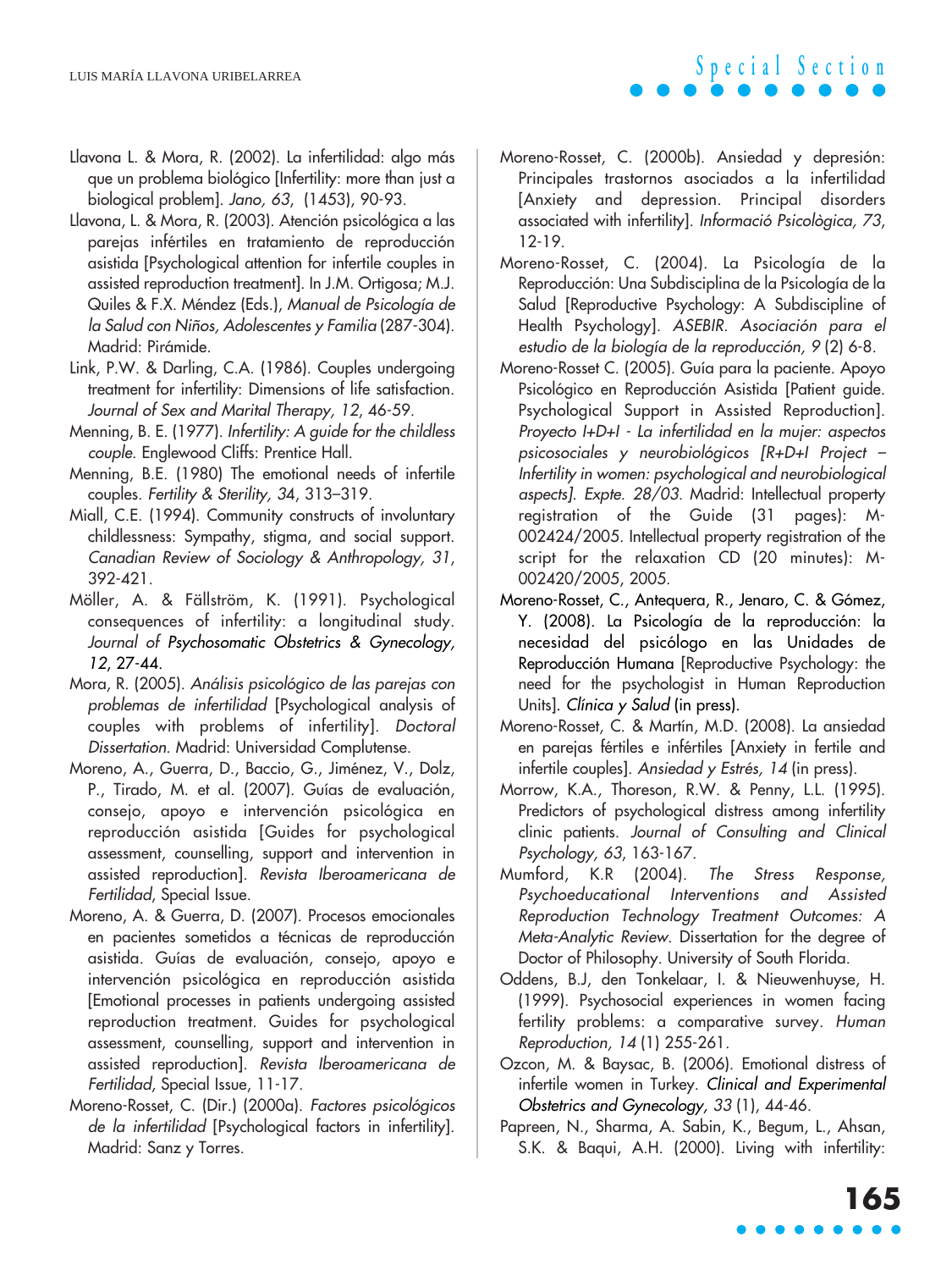- Llavona L. & Mora, R. (2002). La infertilidad: algo más que un problema biológico [Infertility: more than just a biological problem]. Jano, 63, (1453), 90-93.
- Llavona, L. & Mora, R. (2003). Atención psicológica a las parejas infértiles en tratamiento de reproducción asistida [Psychological attention for infertile couples in assisted reproduction treatment]. In J.M. Ortigosa; M.J. Quiles & F.X. Méndez (Eds.), Manual de Psicología de la Salud con Niños, Adolescentes y Familia (287-304). Madrid: Pirámide.
- Link, P.W. & Darling, C.A. (1986). Couples undergoing treatment for infertility: Dimensions of life satisfaction. Journal of Sex and Marital Therapy, 12, 46-59.
- Menning, B. E. (1977). Infertility: A guide for the childless couple. Englewood Cliffs: Prentice Hall.
- Menning, B.E. (1980) The emotional needs of infertile couples. Fertility & Sterility, 34, 313–319.
- Miall, C.E. (1994). Community constructs of involuntary childlessness: Sympathy, stigma, and social support. Canadian Review of Sociology & Anthropology, 31, 392-421.
- Möller, A. & Fällström, K. (1991). Psychological consequences of infertility: a longitudinal study. Journal of Psychosomatic Obstetrics & Gynecology, 12, 27-44.
- Mora, R. (2005). Análisis psicológico de las parejas con problemas de infertilidad [Psychological analysis of couples with problems of infertility]. Doctoral Dissertation. Madrid: Universidad Complutense.
- Moreno, A., Guerra, D., Baccio, G., Jiménez, V., Dolz, P., Tirado, M. et al. (2007). Guías de evaluación, consejo, apoyo e intervención psicológica en reproducción asistida [Guides for psychological assessment, counselling, support and intervention in assisted reproduction]. Revista Iberoamericana de Fertilidad, Special Issue.
- Moreno, A. & Guerra, D. (2007). Procesos emocionales en pacientes sometidos a técnicas de reproducción asistida. Guías de evaluación, consejo, apoyo e intervención psicológica en reproducción asistida [Emotional processes in patients undergoing assisted reproduction treatment. Guides for psychological assessment, counselling, support and intervention in assisted reproduction]. Revista Iberoamericana de Fertilidad, Special Issue, 11-17.
- Moreno-Rosset, C. (Dir.) (2000a). Factores psicológicos de la infertilidad [Psychological factors in infertility]. Madrid: Sanz y Torres.
- Moreno-Rosset, C. (2000b). Ansiedad y depresión: Principales trastornos asociados a la infertilidad [Anxiety and depression. Principal disorders associated with infertility]. Informació Psicològica, 73, 12-19.
- Moreno-Rosset, C. (2004). La Psicología de la Reproducción: Una Subdisciplina de la Psicología de la Salud [Reproductive Psychology: A Subdiscipline of Health Psychology]. ASEBIR. Asociación para el estudio de la biología de la reproducción, 9 (2) 6-8.
- Moreno-Rosset C. (2005). Guía para la paciente. Apoyo Psicológico en Reproducción Asistida [Patient guide. Psychological Support in Assisted Reproduction]. Proyecto I+D+I - La infertilidad en la mujer: aspectos psicosociales y neurobiológicos [R+D+I Project – Infertility in women: psychological and neurobiological aspects]. Expte. 28/03. Madrid: Intellectual property registration of the Guide (31 pages): M-002424/2005. Intellectual property registration of the script for the relaxation CD (20 minutes): M-002420/2005, 2005.
- Moreno-Rosset, C., Antequera, R., Jenaro, C. & Gómez, Y. (2008). La Psicología de la reproducción: la necesidad del psicólogo en las Unidades de Reproducción Humana [Reproductive Psychology: the need for the psychologist in Human Reproduction Units]. Clínica y Salud (in press).
- Moreno-Rosset, C. & Martín, M.D. (2008). La ansiedad en parejas fértiles e infértiles [Anxiety in fertile and infertile couples]. Ansiedad y Estrés, 14 (in press).
- Morrow, K.A., Thoreson, R.W. & Penny, L.L. (1995). Predictors of psychological distress among infertility clinic patients. Journal of Consulting and Clinical Psychology, 63, 163-167.
- Mumford, K.R (2004). The Stress Response, Psychoeducational Interventions and Assisted Reproduction Technology Treatment Outcomes: A Meta-Analytic Review. Dissertation for the degree of Doctor of Philosophy. University of South Florida.
- Oddens, B.J, den Tonkelaar, I. & Nieuwenhuyse, H. (1999). Psychosocial experiences in women facing fertility problems: a comparative survey. Human Reproduction, 14 (1) 255-261.
- Ozcon, M. & Baysac, B. (2006). Emotional distress of infertile women in Turkey. Clinical and Experimental Obstetrics and Gynecology, 33 (1), 44-46.
- Papreen, N., Sharma, A. Sabin, K., Begum, L., Ahsan, S.K. & Baqui, A.H. (2000). Living with infertility: